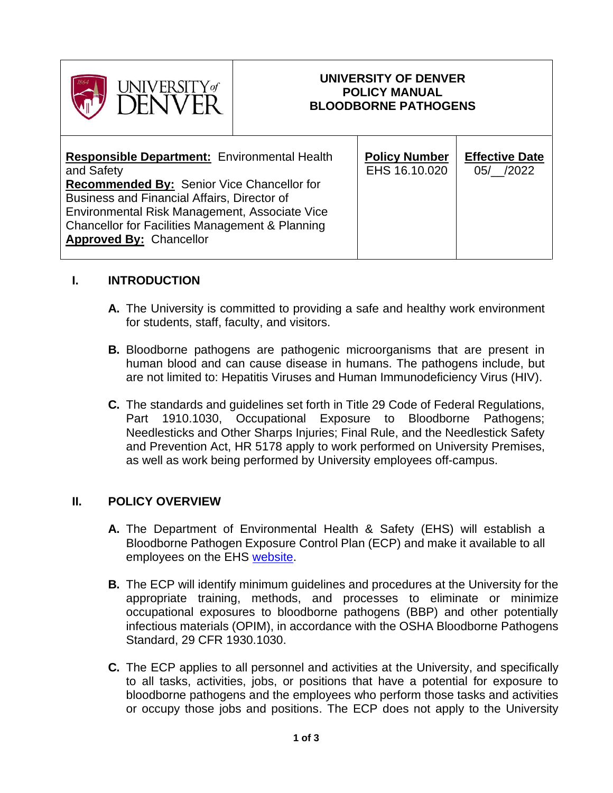

#### **UNIVERSITY OF DENVER POLICY MANUAL BLOODBORNE PATHOGENS**

#### **I. INTRODUCTION**

- **A.** The University is committed to providing a safe and healthy work environment for students, staff, faculty, and visitors.
- **B.** Bloodborne pathogens are pathogenic microorganisms that are present in human blood and can cause disease in humans. The pathogens include, but are not limited to: Hepatitis Viruses and Human Immunodeficiency Virus (HIV).
- **C.** The standards and guidelines set forth in Title 29 Code of Federal Regulations, Part 1910.1030, Occupational Exposure to Bloodborne Pathogens; Needlesticks and Other Sharps Injuries; Final Rule, and the Needlestick Safety and Prevention Act, HR 5178 apply to work performed on University Premises, as well as work being performed by University employees off-campus.

#### **II. POLICY OVERVIEW**

- **A.** The Department of Environmental Health & Safety (EHS) will establish a Bloodborne Pathogen Exposure Control Plan (ECP) and make it available to all employees on the EHS [website.](https://www.du.edu/ehs/)
- **B.** The ECP will identify minimum guidelines and procedures at the University for the appropriate training, methods, and processes to eliminate or minimize occupational exposures to bloodborne pathogens (BBP) and other potentially infectious materials (OPIM), in accordance with the OSHA Bloodborne Pathogens Standard, 29 CFR 1930.1030.
- **C.** The ECP applies to all personnel and activities at the University, and specifically to all tasks, activities, jobs, or positions that have a potential for exposure to bloodborne pathogens and the employees who perform those tasks and activities or occupy those jobs and positions. The ECP does not apply to the University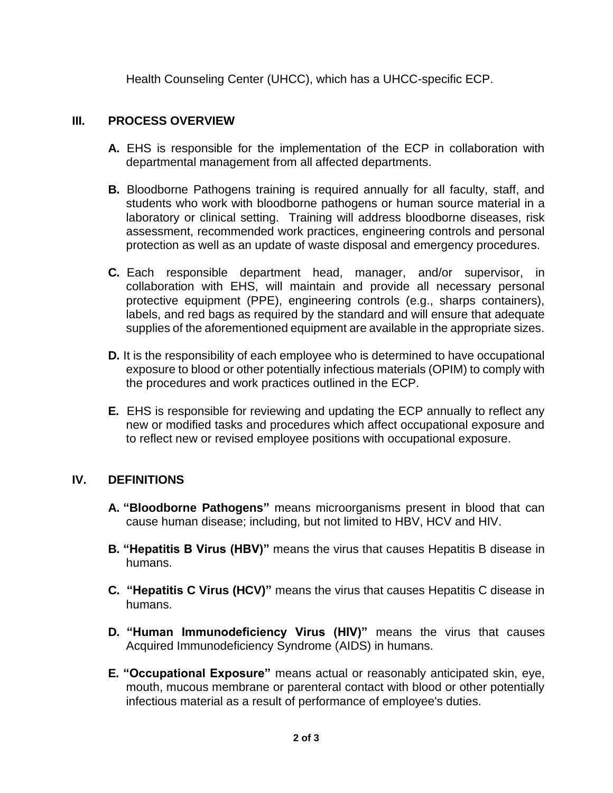Health Counseling Center (UHCC), which has a UHCC-specific ECP.

## **III. PROCESS OVERVIEW**

- **A.** EHS is responsible for the implementation of the ECP in collaboration with departmental management from all affected departments.
- **B.** Bloodborne Pathogens training is required annually for all faculty, staff, and students who work with bloodborne pathogens or human source material in a laboratory or clinical setting. Training will address bloodborne diseases, risk assessment, recommended work practices, engineering controls and personal protection as well as an update of waste disposal and emergency procedures.
- **C.** Each responsible department head, manager, and/or supervisor, in collaboration with EHS, will maintain and provide all necessary personal protective equipment (PPE), engineering controls (e.g., sharps containers), labels, and red bags as required by the standard and will ensure that adequate supplies of the aforementioned equipment are available in the appropriate sizes.
- **D.** It is the responsibility of each employee who is determined to have occupational exposure to blood or other potentially infectious materials (OPIM) to comply with the procedures and work practices outlined in the ECP.
- **E.** EHS is responsible for reviewing and updating the ECP annually to reflect any new or modified tasks and procedures which affect occupational exposure and to reflect new or revised employee positions with occupational exposure.

## **IV. DEFINITIONS**

- **A. "Bloodborne Pathogens"** means microorganisms present in blood that can cause human disease; including, but not limited to HBV, HCV and HIV.
- **B. "Hepatitis B Virus (HBV)"** means the virus that causes Hepatitis B disease in humans.
- **C. "Hepatitis C Virus (HCV)"** means the virus that causes Hepatitis C disease in humans.
- **D. "Human Immunodeficiency Virus (HIV)"** means the virus that causes Acquired Immunodeficiency Syndrome (AIDS) in humans.
- **E. "Occupational Exposure"** means actual or reasonably anticipated skin, eye, mouth, mucous membrane or parenteral contact with blood or other potentially infectious material as a result of performance of employee's duties.